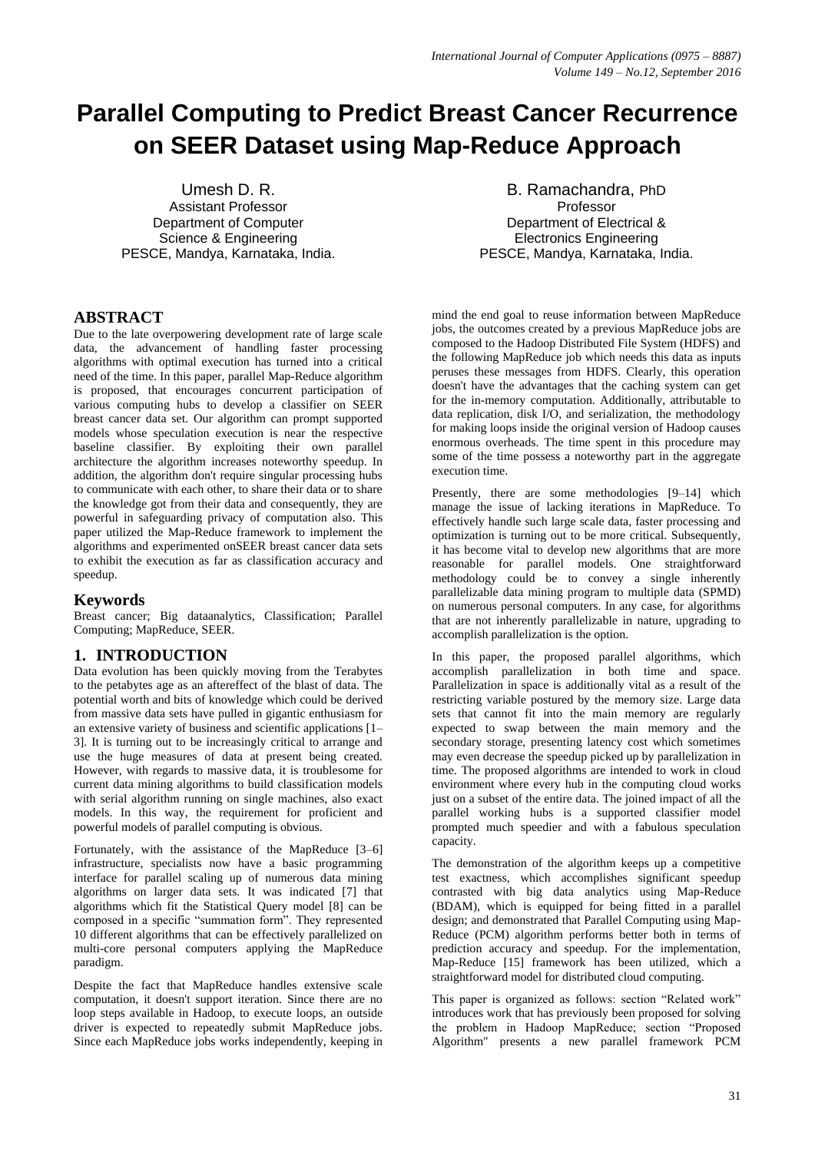# **Parallel Computing to Predict Breast Cancer Recurrence on SEER Dataset using Map-Reduce Approach**

Umesh D. R. Assistant Professor Department of Computer Science & Engineering PESCE, Mandya, Karnataka, India.

B. Ramachandra, PhD Professor Department of Electrical & Electronics Engineering PESCE, Mandya, Karnataka, India.

# **ABSTRACT**

Due to the late overpowering development rate of large scale data, the advancement of handling faster processing algorithms with optimal execution has turned into a critical need of the time. In this paper, parallel Map-Reduce algorithm is proposed, that encourages concurrent participation of various computing hubs to develop a classifier on SEER breast cancer data set. Our algorithm can prompt supported models whose speculation execution is near the respective baseline classifier. By exploiting their own parallel architecture the algorithm increases noteworthy speedup. In addition, the algorithm don't require singular processing hubs to communicate with each other, to share their data or to share the knowledge got from their data and consequently, they are powerful in safeguarding privacy of computation also. This paper utilized the Map-Reduce framework to implement the algorithms and experimented onSEER breast cancer data sets to exhibit the execution as far as classification accuracy and speedup.

# **Keywords**

Breast cancer; Big dataanalytics, Classification; Parallel Computing; MapReduce, SEER.

# **1. INTRODUCTION**

Data evolution has been quickly moving from the Terabytes to the petabytes age as an aftereffect of the blast of data. The potential worth and bits of knowledge which could be derived from massive data sets have pulled in gigantic enthusiasm for an extensive variety of business and scientific applications [1– 3]. It is turning out to be increasingly critical to arrange and use the huge measures of data at present being created. However, with regards to massive data, it is troublesome for current data mining algorithms to build classification models with serial algorithm running on single machines, also exact models. In this way, the requirement for proficient and powerful models of parallel computing is obvious.

Fortunately, with the assistance of the MapReduce [3–6] infrastructure, specialists now have a basic programming interface for parallel scaling up of numerous data mining algorithms on larger data sets. It was indicated [7] that algorithms which fit the Statistical Query model [8] can be composed in a specific "summation form". They represented 10 different algorithms that can be effectively parallelized on multi-core personal computers applying the MapReduce paradigm.

Despite the fact that MapReduce handles extensive scale computation, it doesn't support iteration. Since there are no loop steps available in Hadoop, to execute loops, an outside driver is expected to repeatedly submit MapReduce jobs. Since each MapReduce jobs works independently, keeping in mind the end goal to reuse information between MapReduce jobs, the outcomes created by a previous MapReduce jobs are composed to the Hadoop Distributed File System (HDFS) and the following MapReduce job which needs this data as inputs peruses these messages from HDFS. Clearly, this operation doesn't have the advantages that the caching system can get for the in-memory computation. Additionally, attributable to data replication, disk I/O, and serialization, the methodology for making loops inside the original version of Hadoop causes enormous overheads. The time spent in this procedure may some of the time possess a noteworthy part in the aggregate execution time.

Presently, there are some methodologies [9–14] which manage the issue of lacking iterations in MapReduce. To effectively handle such large scale data, faster processing and optimization is turning out to be more critical. Subsequently, it has become vital to develop new algorithms that are more reasonable for parallel models. One straightforward methodology could be to convey a single inherently parallelizable data mining program to multiple data (SPMD) on numerous personal computers. In any case, for algorithms that are not inherently parallelizable in nature, upgrading to accomplish parallelization is the option.

In this paper, the proposed parallel algorithms, which accomplish parallelization in both time and space. Parallelization in space is additionally vital as a result of the restricting variable postured by the memory size. Large data sets that cannot fit into the main memory are regularly expected to swap between the main memory and the secondary storage, presenting latency cost which sometimes may even decrease the speedup picked up by parallelization in time. The proposed algorithms are intended to work in cloud environment where every hub in the computing cloud works just on a subset of the entire data. The joined impact of all the parallel working hubs is a supported classifier model prompted much speedier and with a fabulous speculation capacity.

The demonstration of the algorithm keeps up a competitive test exactness, which accomplishes significant speedup contrasted with big data analytics using Map-Reduce (BDAM), which is equipped for being fitted in a parallel design; and demonstrated that Parallel Computing using Map-Reduce (PCM) algorithm performs better both in terms of prediction accuracy and speedup. For the implementation, Map-Reduce [15] framework has been utilized, which a straightforward model for distributed cloud computing.

This paper is organized as follows: section "Related work" introduces work that has previously been proposed for solving the problem in Hadoop MapReduce; section "Proposed Algorithm" presents a new parallel framework PCM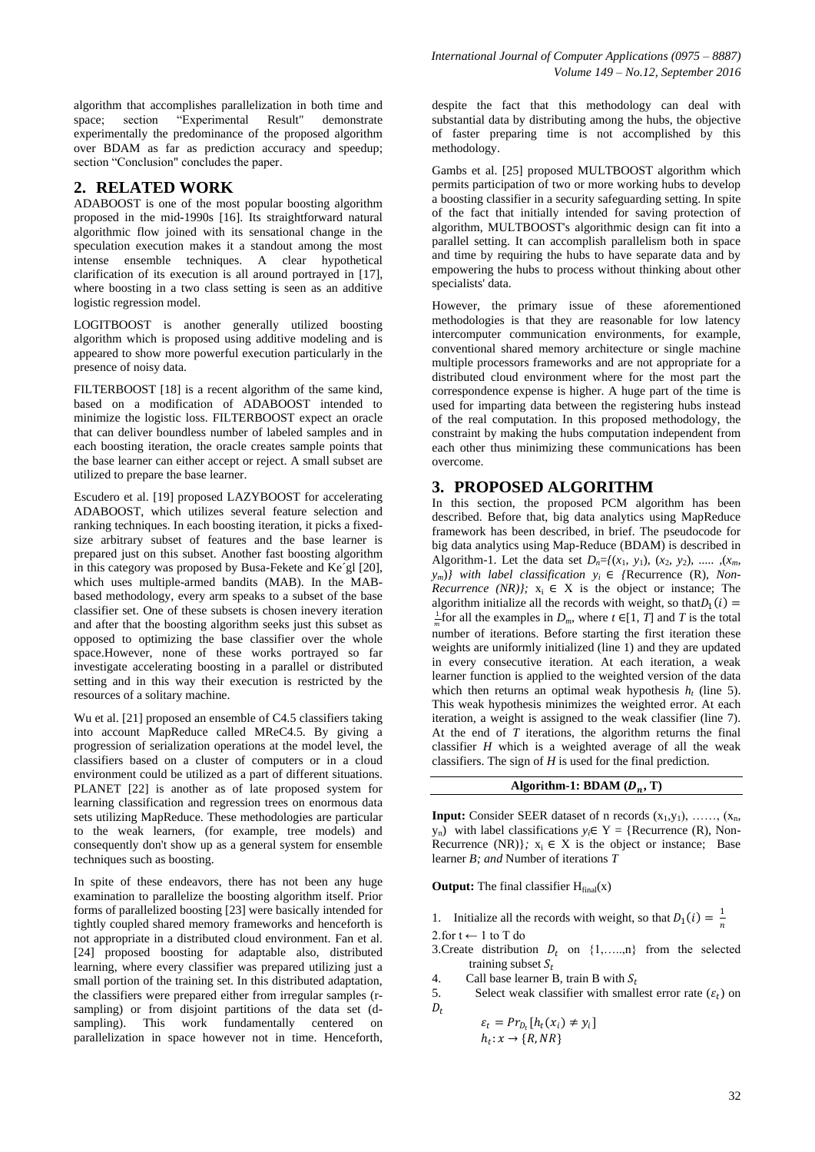algorithm that accomplishes parallelization in both time and space; section "Experimental Result" demonstrate experimentally the predominance of the proposed algorithm over BDAM as far as prediction accuracy and speedup; section "Conclusion" concludes the paper.

# **2. RELATED WORK**

ADABOOST is one of the most popular boosting algorithm proposed in the mid-1990s [16]. Its straightforward natural algorithmic flow joined with its sensational change in the speculation execution makes it a standout among the most intense ensemble techniques. A clear hypothetical clarification of its execution is all around portrayed in [17], where boosting in a two class setting is seen as an additive logistic regression model.

LOGITBOOST is another generally utilized boosting algorithm which is proposed using additive modeling and is appeared to show more powerful execution particularly in the presence of noisy data.

FILTERBOOST [18] is a recent algorithm of the same kind, based on a modification of ADABOOST intended to minimize the logistic loss. FILTERBOOST expect an oracle that can deliver boundless number of labeled samples and in each boosting iteration, the oracle creates sample points that the base learner can either accept or reject. A small subset are utilized to prepare the base learner.

Escudero et al. [19] proposed LAZYBOOST for accelerating ADABOOST, which utilizes several feature selection and ranking techniques. In each boosting iteration, it picks a fixedsize arbitrary subset of features and the base learner is prepared just on this subset. Another fast boosting algorithm in this category was proposed by Busa-Fekete and Ke´gl [20], which uses multiple-armed bandits (MAB). In the MABbased methodology, every arm speaks to a subset of the base classifier set. One of these subsets is chosen inevery iteration and after that the boosting algorithm seeks just this subset as opposed to optimizing the base classifier over the whole space.However, none of these works portrayed so far investigate accelerating boosting in a parallel or distributed setting and in this way their execution is restricted by the resources of a solitary machine.

Wu et al. [21] proposed an ensemble of C4.5 classifiers taking into account MapReduce called MReC4.5. By giving a progression of serialization operations at the model level, the classifiers based on a cluster of computers or in a cloud environment could be utilized as a part of different situations. PLANET [22] is another as of late proposed system for learning classification and regression trees on enormous data sets utilizing MapReduce. These methodologies are particular to the weak learners, (for example, tree models) and consequently don't show up as a general system for ensemble techniques such as boosting.

In spite of these endeavors, there has not been any huge examination to parallelize the boosting algorithm itself. Prior forms of parallelized boosting [23] were basically intended for tightly coupled shared memory frameworks and henceforth is not appropriate in a distributed cloud environment. Fan et al. [24] proposed boosting for adaptable also, distributed learning, where every classifier was prepared utilizing just a small portion of the training set. In this distributed adaptation, the classifiers were prepared either from irregular samples (rsampling) or from disjoint partitions of the data set (dsampling). This work fundamentally centered on parallelization in space however not in time. Henceforth,

despite the fact that this methodology can deal with substantial data by distributing among the hubs, the objective of faster preparing time is not accomplished by this methodology.

Gambs et al. [25] proposed MULTBOOST algorithm which permits participation of two or more working hubs to develop a boosting classifier in a security safeguarding setting. In spite of the fact that initially intended for saving protection of algorithm, MULTBOOST's algorithmic design can fit into a parallel setting. It can accomplish parallelism both in space and time by requiring the hubs to have separate data and by empowering the hubs to process without thinking about other specialists' data.

However, the primary issue of these aforementioned methodologies is that they are reasonable for low latency intercomputer communication environments, for example, conventional shared memory architecture or single machine multiple processors frameworks and are not appropriate for a distributed cloud environment where for the most part the correspondence expense is higher. A huge part of the time is used for imparting data between the registering hubs instead of the real computation. In this proposed methodology, the constraint by making the hubs computation independent from each other thus minimizing these communications has been overcome.

#### **3. PROPOSED ALGORITHM**

In this section, the proposed PCM algorithm has been described. Before that, big data analytics using MapReduce framework has been described, in brief. The pseudocode for big data analytics using Map-Reduce (BDAM) is described in Algorithm-1. Let the data set  $D_n = \{(x_1, y_1), (x_2, y_2), \ldots, (x_m, x_m)\}$  $y_m$ )*}* with label classification  $y_i \in$  {Recurrence (R), Non-*Recurrence (NR)}*;  $x_i \in X$  is the object or instance; The algorithm initialize all the records with weight, so that  $D_1(i) =$  $\frac{1}{m}$  for all the examples in *D<sub>m</sub>*, where  $t \in [1, T]$  and *T* is the total number of iterations. Before starting the first iteration these weights are uniformly initialized (line 1) and they are updated in every consecutive iteration. At each iteration, a weak learner function is applied to the weighted version of the data which then returns an optimal weak hypothesis  $h_t$  (line 5). This weak hypothesis minimizes the weighted error. At each iteration, a weight is assigned to the weak classifier (line 7). At the end of *T* iterations, the algorithm returns the final classifier *H* which is a weighted average of all the weak classifiers. The sign of *H* is used for the final prediction.

# Algorithm-1:  $BDAM (D_n, T)$

**Input:** Consider SEER dataset of n records  $(x_1, y_1)$ , ……,  $(x_n, y_n)$  $y_n$ ) with label classifications  $y_i \in Y =$  {Recurrence (R), Non-Recurrence (NR) $\}$ ;  $x_i \in X$  is the object or instance; Base learner *B; and* Number of iterations *T*

**Output:** The final classifier  $H_{final}(x)$ 

1. Initialize all the records with weight, so that  $D_1(i) = \frac{1}{n}$  $\boldsymbol{n}$ 

2.for  $t$  ← 1 to T do

3. Create distribution  $D_t$  on  $\{1, \ldots, n\}$  from the selected training subset  $S_t$ 

4. Call base learner B, train B with  $S_t$ <br>5. Select weak classifier with small

5. Select weak classifier with smallest error rate  $(\varepsilon_t)$  on  $D_t$ 

$$
\varepsilon_t = Pr_{D_t}[h_t(x_i) \neq y_i]
$$
  

$$
h_t: x \to \{R, NR\}
$$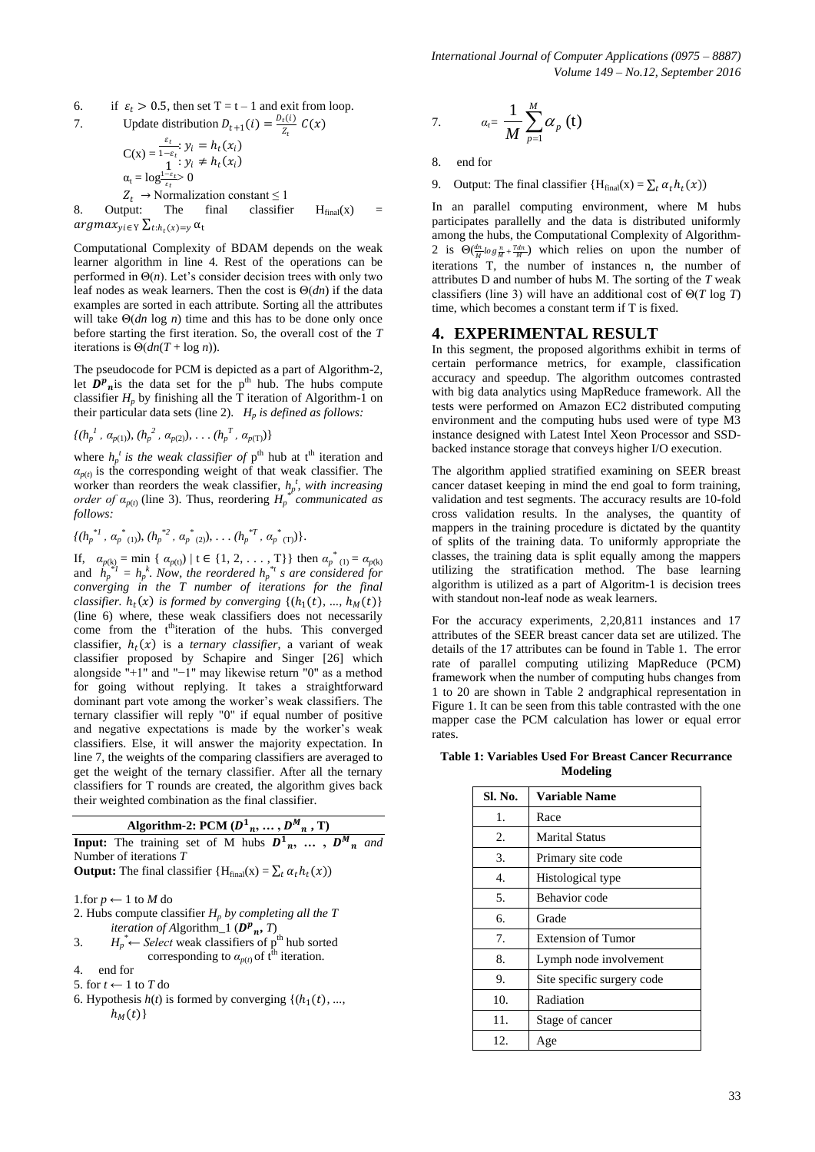6. if 
$$
\varepsilon_t > 0.5
$$
, then set  $T = t - 1$  and exit from loop.

7. Update distribution 
$$
D_{t+1}(i) = \frac{D_t(i)}{Z_t} C(x)
$$

$$
C(x) = \frac{\varepsilon_t}{1 - \varepsilon_t}; y_i = h_t(x_i)
$$
  
\n
$$
\alpha_t = \log \frac{1 - \varepsilon_t}{\varepsilon_t} > 0
$$
  
\n
$$
Z_t \to \text{Normalization constant} \le 1
$$

8. Output: The final classifier  $H_{final}(x)$  =  $argmax_{y i \in \mathrm{Y}} \sum_{t : h_t(x) = y} \alpha_t$ 

Computational Complexity of BDAM depends on the weak learner algorithm in line 4. Rest of the operations can be performed in Θ(*n*). Let's consider decision trees with only two leaf nodes as weak learners. Then the cost is Θ(*dn*) if the data examples are sorted in each attribute. Sorting all the attributes will take Θ(*dn* log *n*) time and this has to be done only once before starting the first iteration. So, the overall cost of the *T*  iterations is  $\Theta(dn(T + \log n)).$ 

The pseudocode for PCM is depicted as a part of Algorithm-2, let  $\hat{D}^p$ <sub>n</sub> is the data set for the p<sup>th</sup> hub. The hubs compute classifier  $H_p$  by finishing all the T iteration of Algorithm-1 on their particular data sets (line 2).  $H_p$  *is defined as follows:* 

$$
\{(h_p^1, \alpha_{p(1)}), (h_p^2, \alpha_{p(2)}), \ldots (h_p^T, \alpha_{p(T)})\}
$$

where  $h_p^t$  *is the weak classifier of*  $p^{\text{th}}$  hub at  $t^{\text{th}}$  iteration and  $a_{p(t)}$  is the corresponding weight of that weak classifier. The worker than reorders the weak classifier,  $h_p^t$ , with increasing *order of*  $\alpha_{p(t)}$  (line 3). Thus, reordering  $H_p^*$  communicated as *follows:* 

$$
\{(h_p^{*1}, \alpha_p^{*}(1)), (h_p^{*2}, \alpha_p^{*}(2)), \ldots (h_p^{*T}, \alpha_p^{*}(T))\}.
$$

If,  $\alpha_{p(k)} = \min \{ \alpha_{p(t)} \mid t \in \{1, 2, ..., T\} \}$  then  $\alpha_{p(k)}^* = \alpha_{p(k)}$ and  $\hat{h}_p^{*j} = h_p^k$ . Now, the reordered  $h_p^{*j}$  *s* are considered for *converging in the T number of iterations for the final classifier.*  $h_t(x)$  *is formed by converging*  $\{(h_1(t), ..., h_M(t)\})$ (line 6) where, these weak classifiers does not necessarily come from the t<sup>th</sup>iteration of the hubs. This converged classifier,  $h_t(x)$  is a *ternary classifier*, a variant of weak classifier proposed by Schapire and Singer [26] which alongside "+1" and "−1" may likewise return "0" as a method for going without replying. It takes a straightforward dominant part vote among the worker's weak classifiers. The ternary classifier will reply "0" if equal number of positive and negative expectations is made by the worker's weak classifiers. Else, it will answer the majority expectation. In line 7, the weights of the comparing classifiers are averaged to get the weight of the ternary classifier. After all the ternary classifiers for T rounds are created, the algorithm gives back their weighted combination as the final classifier.

| Algorithm-2: PCM $(D_{n}^{1},,D_{n}^{M},T)$                                    |  |  |  |  |  |
|--------------------------------------------------------------------------------|--|--|--|--|--|
| <b>Input:</b> The training set of M hubs $D^1_n$ , , $D^M_n$ and               |  |  |  |  |  |
| Number of iterations $T$                                                       |  |  |  |  |  |
| <b>Output:</b> The final classifier ${H_{final}(x) = \sum_t \alpha_t h_t(x)}$  |  |  |  |  |  |
| 1.for $p \leftarrow 1$ to M do                                                 |  |  |  |  |  |
| 2. Hubs compute classifier $H_p$ by completing all the T                       |  |  |  |  |  |
| <i>iteration of Algorithm_1</i> ( $D^p$ <sub>n</sub> , <i>T</i> )              |  |  |  |  |  |
| $H_p^* \leftarrow$ Select weak classifiers of p <sup>th</sup> hub sorted<br>3. |  |  |  |  |  |
| corresponding to $\alpha_{p(t)}$ of t <sup>th</sup> iteration.                 |  |  |  |  |  |
| end for<br>4.                                                                  |  |  |  |  |  |

5. for  $t$  ← 1 to  $T$  do

6. Hypothesis  $h(t)$  is formed by converging  $\{(h_1(t), ...,$  $h_M(t)$ 

7. 
$$
\alpha_r = \frac{1}{M} \sum_{p=1}^{M} \alpha_p(t)
$$

8. end for

9. Output: The final classifier  ${H<sub>final</sub>(x) = \sum_t \alpha_t h_t(x)}$ 

In an parallel computing environment, where M hubs participates parallelly and the data is distributed uniformly among the hubs, the Computational Complexity of Algorithm-2 is  $\Theta(\frac{dn}{M} \log \frac{n}{M} + \frac{Tdn}{M})$  which relies on upon the number of iterations T, the number of instances n, the number of attributes D and number of hubs M. The sorting of the *T* weak classifiers (line 3) will have an additional cost of Θ(*T* log *T*) time, which becomes a constant term if T is fixed.

# **4. EXPERIMENTAL RESULT**

In this segment, the proposed algorithms exhibit in terms of certain performance metrics, for example, classification accuracy and speedup. The algorithm outcomes contrasted with big data analytics using MapReduce framework. All the tests were performed on Amazon EC2 distributed computing environment and the computing hubs used were of type M3 instance designed with Latest Intel Xeon Processor and SSDbacked instance storage that conveys higher I/O execution.

The algorithm applied stratified examining on SEER breast cancer dataset keeping in mind the end goal to form training, validation and test segments. The accuracy results are 10-fold cross validation results. In the analyses, the quantity of mappers in the training procedure is dictated by the quantity of splits of the training data. To uniformly appropriate the classes, the training data is split equally among the mappers utilizing the stratification method. The base learning algorithm is utilized as a part of Algoritm-1 is decision trees with standout non-leaf node as weak learners.

For the accuracy experiments, 2,20,811 instances and 17 attributes of the SEER breast cancer data set are utilized. The details of the 17 attributes can be found in Table 1. The error rate of parallel computing utilizing MapReduce (PCM) framework when the number of computing hubs changes from 1 to 20 are shown in Table 2 andgraphical representation in Figure 1. It can be seen from this table contrasted with the one mapper case the PCM calculation has lower or equal error rates.

**Table 1: Variables Used For Breast Cancer Recurrance Modeling**

| Sl. No. | <b>Variable Name</b>       |  |  |  |  |
|---------|----------------------------|--|--|--|--|
| 1.      | Race                       |  |  |  |  |
| 2.      | <b>Marital Status</b>      |  |  |  |  |
| 3.      | Primary site code          |  |  |  |  |
| 4.      | Histological type          |  |  |  |  |
| 5.      | Behavior code              |  |  |  |  |
| б.      | Grade                      |  |  |  |  |
| 7.      | <b>Extension of Tumor</b>  |  |  |  |  |
| 8.      | Lymph node involvement     |  |  |  |  |
| 9.      | Site specific surgery code |  |  |  |  |
| 10.     | Radiation                  |  |  |  |  |
| 11.     | Stage of cancer            |  |  |  |  |
| 12.     | Age                        |  |  |  |  |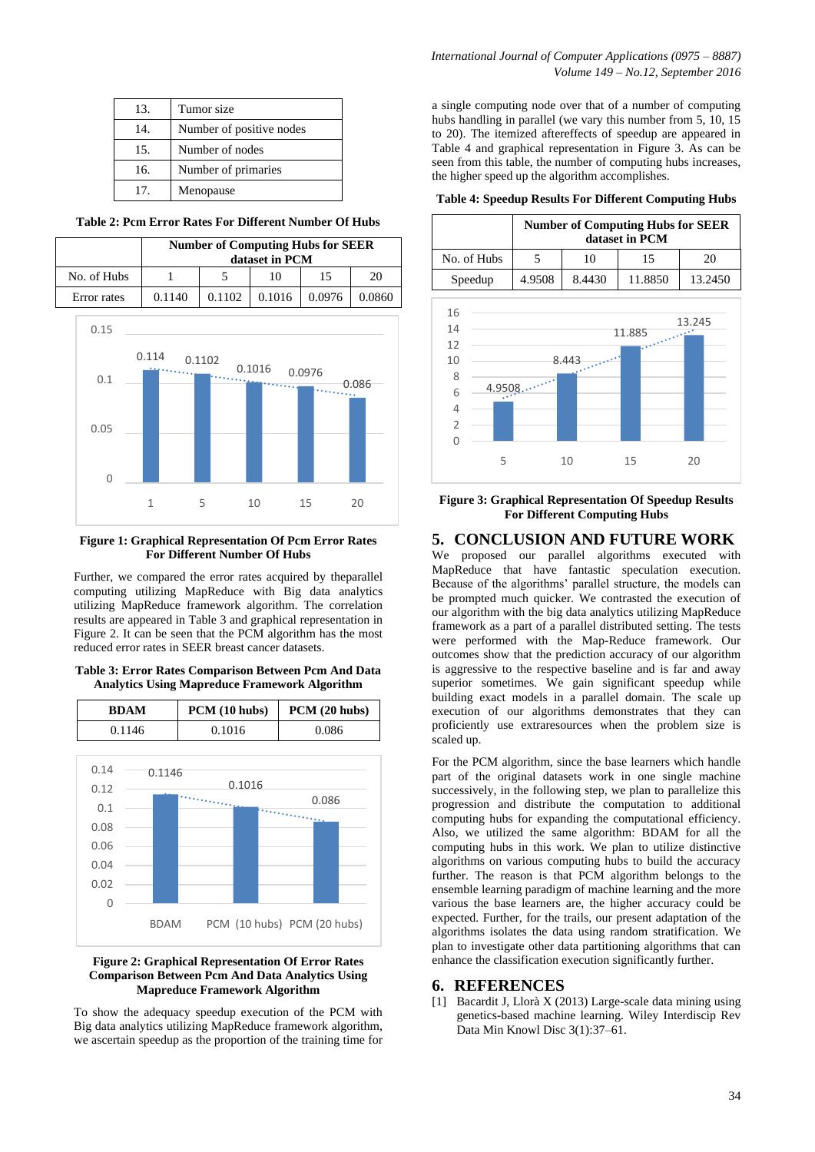| 13. | Tumor size               |
|-----|--------------------------|
| 14. | Number of positive nodes |
| 15. | Number of nodes          |
| 16. | Number of primaries      |
| 17  | Menopause                |

**Table 2: Pcm Error Rates For Different Number Of Hubs**

|             | <b>Number of Computing Hubs for SEER</b><br>dataset in PCM |        |        |        |        |
|-------------|------------------------------------------------------------|--------|--------|--------|--------|
| No. of Hubs |                                                            |        | 10     | 15     | 20     |
| Error rates | 0.1140                                                     | 0.1102 | 0.1016 | 0.0976 | 0.0860 |



**Figure 1: Graphical Representation Of Pcm Error Rates For Different Number Of Hubs**

Further, we compared the error rates acquired by theparallel computing utilizing MapReduce with Big data analytics utilizing MapReduce framework algorithm. The correlation results are appeared in Table 3 and graphical representation in Figure 2. It can be seen that the PCM algorithm has the most reduced error rates in SEER breast cancer datasets.

**Table 3: Error Rates Comparison Between Pcm And Data Analytics Using Mapreduce Framework Algorithm** 



#### **Figure 2: Graphical Representation Of Error Rates Comparison Between Pcm And Data Analytics Using Mapreduce Framework Algorithm**

To show the adequacy speedup execution of the PCM with Big data analytics utilizing MapReduce framework algorithm, we ascertain speedup as the proportion of the training time for

a single computing node over that of a number of computing hubs handling in parallel (we vary this number from 5, 10, 15 to 20). The itemized aftereffects of speedup are appeared in Table 4 and graphical representation in Figure 3. As can be seen from this table, the number of computing hubs increases, the higher speed up the algorithm accomplishes.

**Table 4: Speedup Results For Different Computing Hubs**

|             | <b>Number of Computing Hubs for SEER</b><br>dataset in PCM |        |         |         |  |
|-------------|------------------------------------------------------------|--------|---------|---------|--|
| No. of Hubs |                                                            | 10     | 15      | 20      |  |
| Speedup     | 4.9508                                                     | 8.4430 | 11.8850 | 13.2450 |  |



**Figure 3: Graphical Representation Of Speedup Results For Different Computing Hubs**

### **5. CONCLUSION AND FUTURE WORK**

We proposed our parallel algorithms executed with MapReduce that have fantastic speculation execution. Because of the algorithms' parallel structure, the models can be prompted much quicker. We contrasted the execution of our algorithm with the big data analytics utilizing MapReduce framework as a part of a parallel distributed setting. The tests were performed with the Map-Reduce framework. Our outcomes show that the prediction accuracy of our algorithm is aggressive to the respective baseline and is far and away superior sometimes. We gain significant speedup while building exact models in a parallel domain. The scale up execution of our algorithms demonstrates that they can proficiently use extraresources when the problem size is scaled up.

For the PCM algorithm, since the base learners which handle part of the original datasets work in one single machine successively, in the following step, we plan to parallelize this progression and distribute the computation to additional computing hubs for expanding the computational efficiency. Also, we utilized the same algorithm: BDAM for all the computing hubs in this work. We plan to utilize distinctive algorithms on various computing hubs to build the accuracy further. The reason is that PCM algorithm belongs to the ensemble learning paradigm of machine learning and the more various the base learners are, the higher accuracy could be expected. Further, for the trails, our present adaptation of the algorithms isolates the data using random stratification. We plan to investigate other data partitioning algorithms that can enhance the classification execution significantly further.

#### **6. REFERENCES**

[1] Bacardit J, Llorà X (2013) Large-scale data mining using genetics-based machine learning. Wiley Interdiscip Rev Data Min Knowl Disc 3(1):37–61.